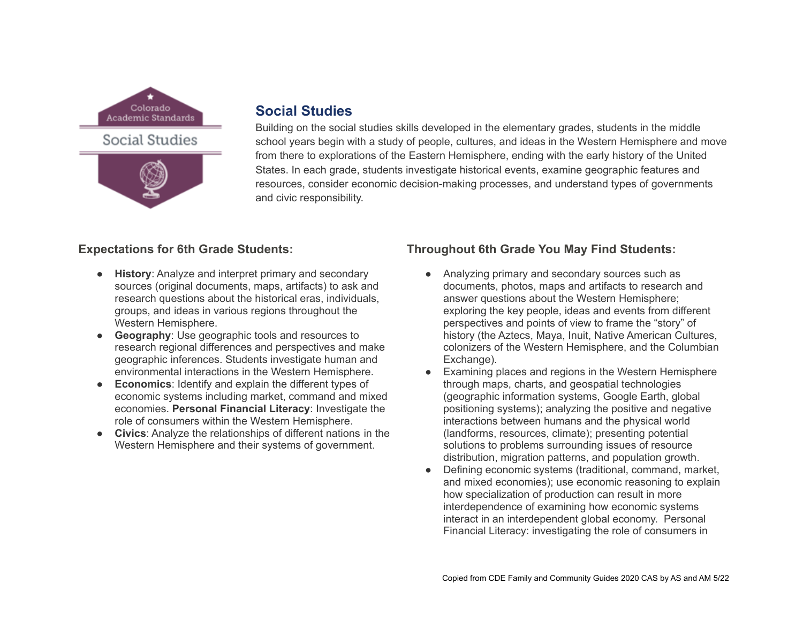



# **Social Studies**

Building on the social studies skills developed in the elementary grades, students in the middle school years begin with a study of people, cultures, and ideas in the Western Hemisphere and move from there to explorations of the Eastern Hemisphere, ending with the early history of the United States. In each grade, students investigate historical events, examine geographic features and resources, consider economic decision-making processes, and understand types of governments and civic responsibility.

### **Expectations for 6th Grade Students:**

- **History**: Analyze and interpret primary and secondary sources (original documents, maps, artifacts) to ask and research questions about the historical eras, individuals, groups, and ideas in various regions throughout the Western Hemisphere.
- **Geography**: Use geographic tools and resources to research regional differences and perspectives and make geographic inferences. Students investigate human and environmental interactions in the Western Hemisphere.
- **Economics**: Identify and explain the different types of economic systems including market, command and mixed economies. **Personal Financial Literacy**: Investigate the role of consumers within the Western Hemisphere.
- **Civics**: Analyze the relationships of different nations in the Western Hemisphere and their systems of government.

## **Throughout 6th Grade You May Find Students:**

- Analyzing primary and secondary sources such as documents, photos, maps and artifacts to research and answer questions about the Western Hemisphere; exploring the key people, ideas and events from different perspectives and points of view to frame the "story" of history (the Aztecs, Maya, Inuit, Native American Cultures, colonizers of the Western Hemisphere, and the Columbian Exchange).
- Examining places and regions in the Western Hemisphere through maps, charts, and geospatial technologies (geographic information systems, Google Earth, global positioning systems); analyzing the positive and negative interactions between humans and the physical world (landforms, resources, climate); presenting potential solutions to problems surrounding issues of resource distribution, migration patterns, and population growth.
- Defining economic systems (traditional, command, market, and mixed economies); use economic reasoning to explain how specialization of production can result in more interdependence of examining how economic systems interact in an interdependent global economy. Personal Financial Literacy: investigating the role of consumers in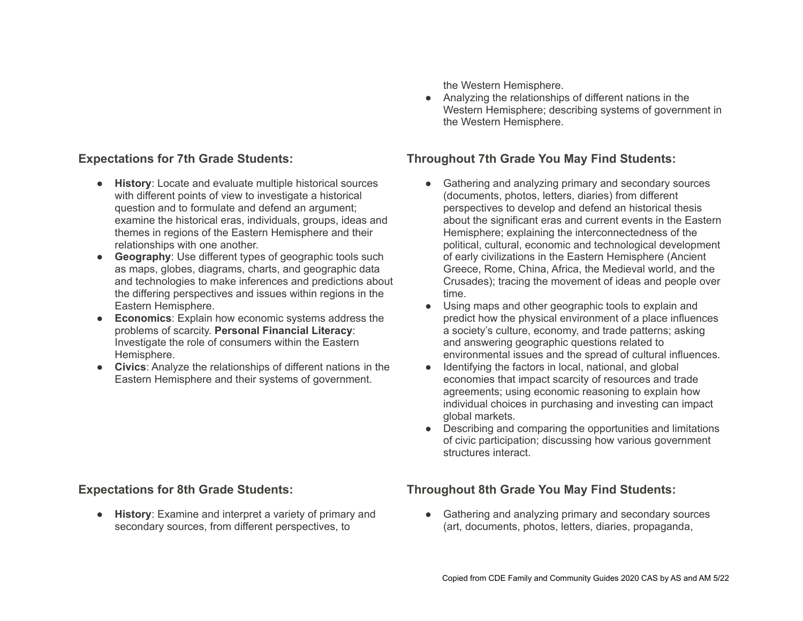#### **Expectations for 7th Grade Students:**

- **History**: Locate and evaluate multiple historical sources with different points of view to investigate a historical question and to formulate and defend an argument; examine the historical eras, individuals, groups, ideas and themes in regions of the Eastern Hemisphere and their relationships with one another.
- **Geography**: Use different types of geographic tools such as maps, globes, diagrams, charts, and geographic data and technologies to make inferences and predictions about the differing perspectives and issues within regions in the Eastern Hemisphere.
- **Economics**: Explain how economic systems address the problems of scarcity. **Personal Financial Literacy**: Investigate the role of consumers within the Eastern Hemisphere.
- **Civics**: Analyze the relationships of different nations in the Eastern Hemisphere and their systems of government.

the Western Hemisphere.

● Analyzing the relationships of different nations in the Western Hemisphere; describing systems of government in the Western Hemisphere.

### **Throughout 7th Grade You May Find Students:**

- Gathering and analyzing primary and secondary sources (documents, photos, letters, diaries) from different perspectives to develop and defend an historical thesis about the significant eras and current events in the Eastern Hemisphere; explaining the interconnectedness of the political, cultural, economic and technological development of early civilizations in the Eastern Hemisphere (Ancient Greece, Rome, China, Africa, the Medieval world, and the Crusades); tracing the movement of ideas and people over time.
- Using maps and other geographic tools to explain and predict how the physical environment of a place influences a society's culture, economy, and trade patterns; asking and answering geographic questions related to environmental issues and the spread of cultural influences.
- Identifying the factors in local, national, and global economies that impact scarcity of resources and trade agreements; using economic reasoning to explain how individual choices in purchasing and investing can impact global markets.
- Describing and comparing the opportunities and limitations of civic participation; discussing how various government structures interact.

#### **Expectations for 8th Grade Students:**

● **History**: Examine and interpret a variety of primary and secondary sources, from different perspectives, to

## **Throughout 8th Grade You May Find Students:**

• Gathering and analyzing primary and secondary sources (art, documents, photos, letters, diaries, propaganda,